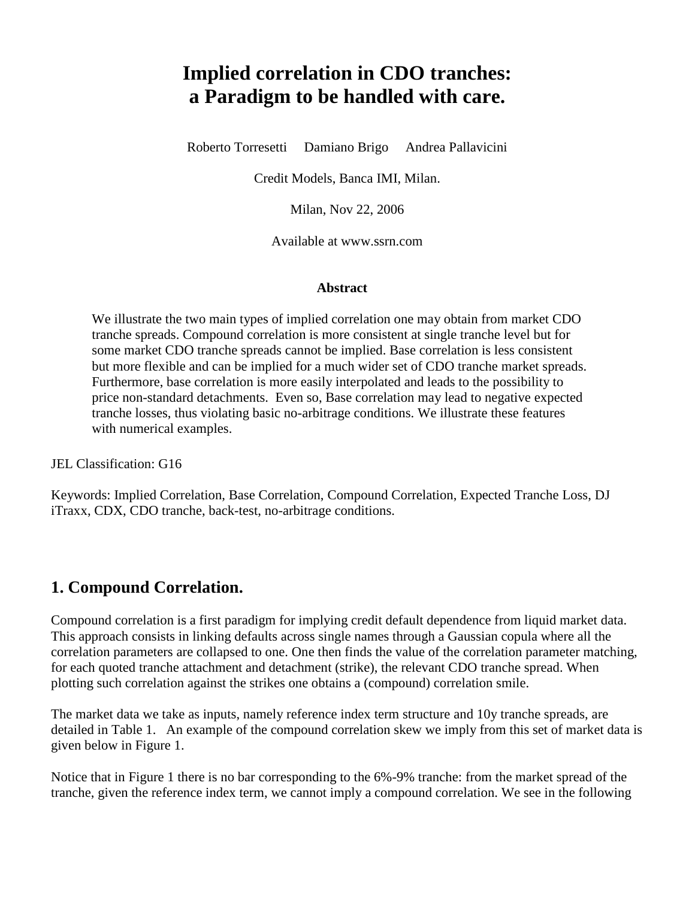# **Implied correlation in CDO tranches: a Paradigm to be handled with care.**

Roberto Torresetti Damiano Brigo Andrea Pallavicini

Credit Models, Banca IMI, Milan.

Milan, Nov 22, 2006

Available at www.ssrn.com

#### **Abstract**

We illustrate the two main types of implied correlation one may obtain from market CDO tranche spreads. Compound correlation is more consistent at single tranche level but for some market CDO tranche spreads cannot be implied. Base correlation is less consistent but more flexible and can be implied for a much wider set of CDO tranche market spreads. Furthermore, base correlation is more easily interpolated and leads to the possibility to price non-standard detachments. Even so, Base correlation may lead to negative expected tranche losses, thus violating basic no-arbitrage conditions. We illustrate these features with numerical examples.

JEL Classification: G16

Keywords: Implied Correlation, Base Correlation, Compound Correlation, Expected Tranche Loss, DJ iTraxx, CDX, CDO tranche, back-test, no-arbitrage conditions.

#### **1. Compound Correlation.**

Compound correlation is a first paradigm for implying credit default dependence from liquid market data. This approach consists in linking defaults across single names through a Gaussian copula where all the correlation parameters are collapsed to one. One then finds the value of the correlation parameter matching, for each quoted tranche attachment and detachment (strike), the relevant CDO tranche spread. When plotting such correlation against the strikes one obtains a (compound) correlation smile.

The market data we take as inputs, namely reference index term structure and 10y tranche spreads, are detailed in Table 1. An example of the compound correlation skew we imply from this set of market data is given below in Figure 1.

Notice that in Figure 1 there is no bar corresponding to the 6%-9% tranche: from the market spread of the tranche, given the reference index term, we cannot imply a compound correlation. We see in the following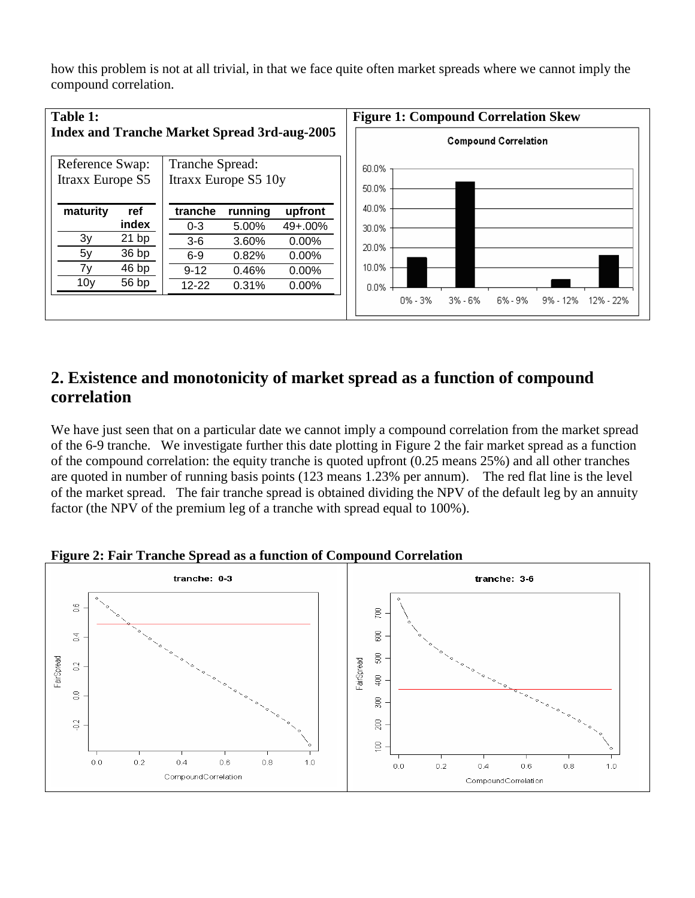how this problem is not at all trivial, in that we face quite often market spreads where we cannot imply the compound correlation.



### **2. Existence and monotonicity of market spread as a function of compound correlation**

We have just seen that on a particular date we cannot imply a compound correlation from the market spread of the 6-9 tranche. We investigate further this date plotting in Figure 2 the fair market spread as a function of the compound correlation: the equity tranche is quoted upfront (0.25 means 25%) and all other tranches are quoted in number of running basis points (123 means 1.23% per annum). The red flat line is the level of the market spread. The fair tranche spread is obtained dividing the NPV of the default leg by an annuity factor (the NPV of the premium leg of a tranche with spread equal to 100%).



**Figure 2: Fair Tranche Spread as a function of Compound Correlation**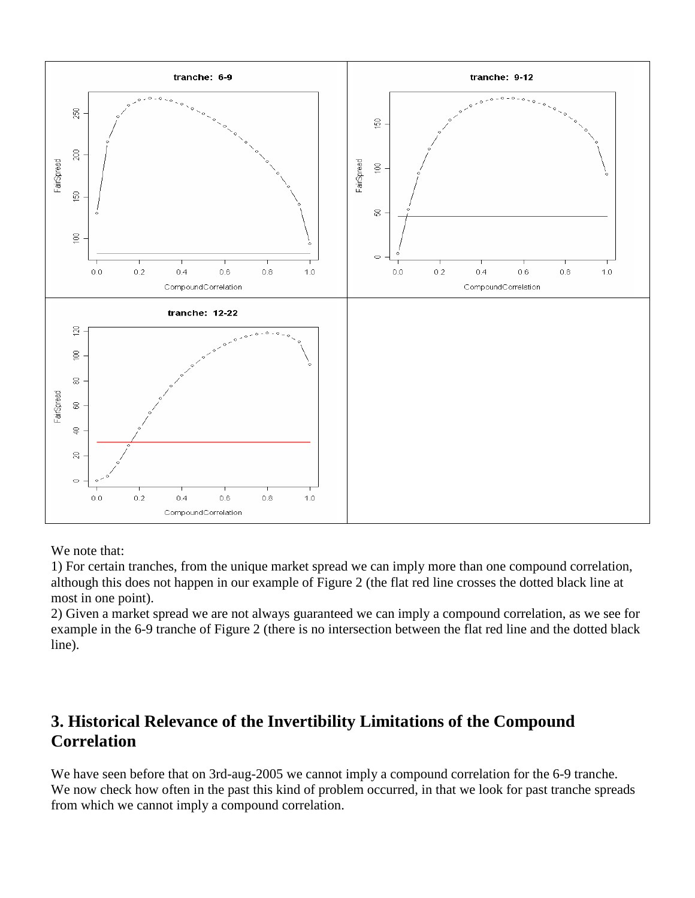

We note that:

1) For certain tranches, from the unique market spread we can imply more than one compound correlation, although this does not happen in our example of Figure 2 (the flat red line crosses the dotted black line at most in one point).

2) Given a market spread we are not always guaranteed we can imply a compound correlation, as we see for example in the 6-9 tranche of Figure 2 (there is no intersection between the flat red line and the dotted black line).

# **3. Historical Relevance of the Invertibility Limitations of the Compound Correlation**

We have seen before that on 3rd-aug-2005 we cannot imply a compound correlation for the 6-9 tranche. We now check how often in the past this kind of problem occurred, in that we look for past tranche spreads from which we cannot imply a compound correlation.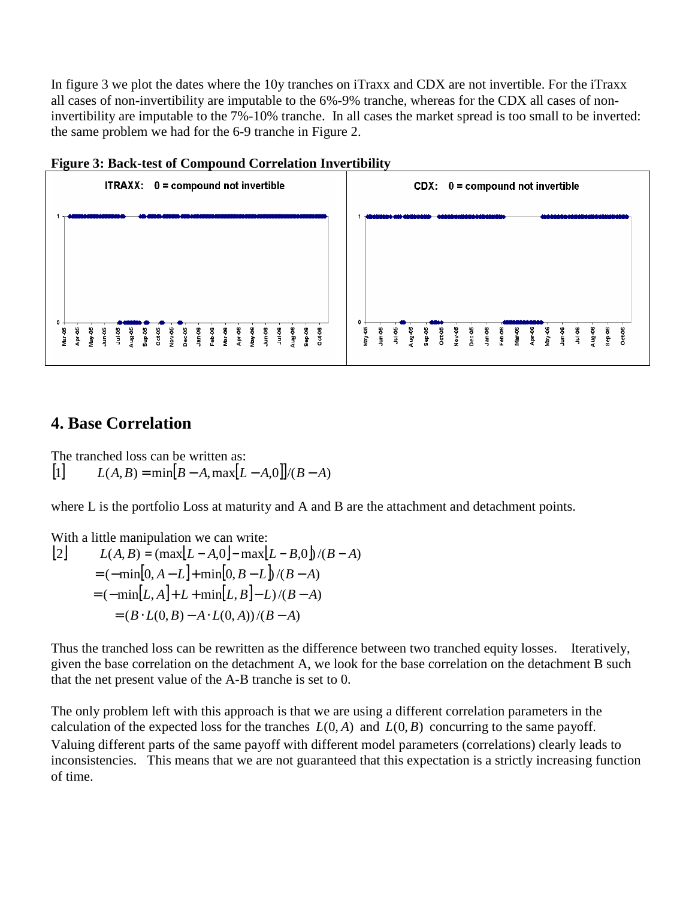In figure 3 we plot the dates where the 10y tranches on iTraxx and CDX are not invertible. For the iTraxx all cases of non-invertibility are imputable to the 6%-9% tranche, whereas for the CDX all cases of noninvertibility are imputable to the 7%-10% tranche. In all cases the market spread is too small to be inverted: the same problem we had for the 6-9 tranche in Figure 2.





#### **4. Base Correlation**

The tranched loss can be written as:  $[L]$   $L(A, B) = \min[B - A, \max[L - A, 0]/(B - A)$ 

where L is the portfolio Loss at maturity and A and B are the attachment and detachment points.

With a little manipulation we can write:  
\n[2] 
$$
L(A, B) = (\max[L - A, 0] - \max[L - B, 0] / (B - A)
$$
  
\n $= (-\min[0, A - L] + \min[0, B - L] / (B - A)$   
\n $= (-\min[L, A] + L + \min[L, B] - L) / (B - A)$   
\n $= (B \cdot L(0, B) - A \cdot L(0, A)) / (B - A)$ 

Thus the tranched loss can be rewritten as the difference between two tranched equity losses. Iteratively, given the base correlation on the detachment A, we look for the base correlation on the detachment B such that the net present value of the A-B tranche is set to 0.

The only problem left with this approach is that we are using a different correlation parameters in the calculation of the expected loss for the tranches  $L(0, A)$  and  $L(0, B)$  concurring to the same payoff. Valuing different parts of the same payoff with different model parameters (correlations) clearly leads to inconsistencies. This means that we are not guaranteed that this expectation is a strictly increasing function of time.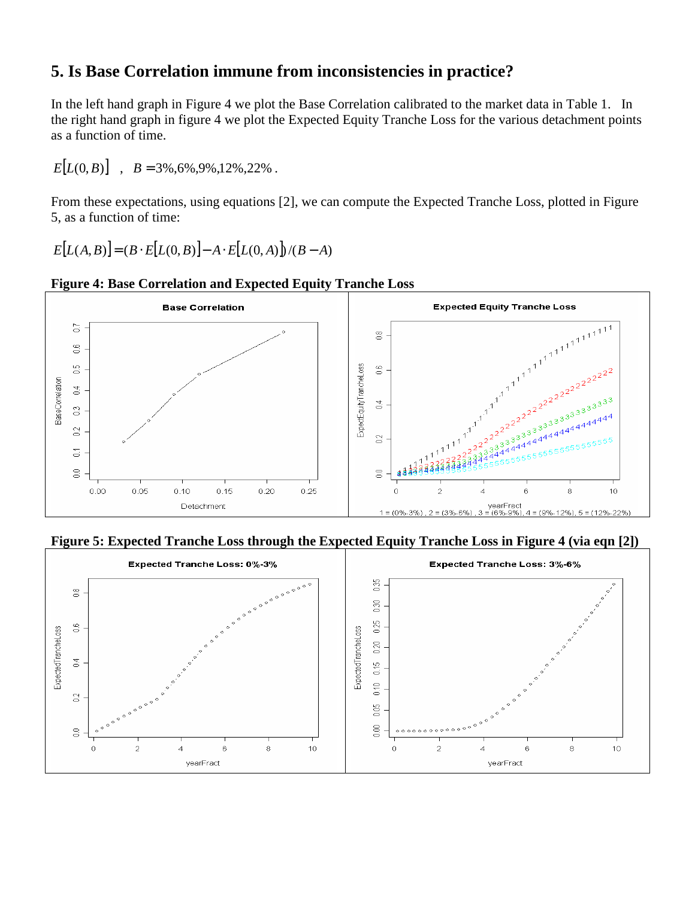### **5. Is Base Correlation immune from inconsistencies in practice?**

In the left hand graph in Figure 4 we plot the Base Correlation calibrated to the market data in Table 1. In the right hand graph in figure 4 we plot the Expected Equity Tranche Loss for the various detachment points as a function of time.

 $E[L(0, B)]$ ,  $B = 3\%, 6\%, 9\%, 12\%, 22\%$ .

From these expectations, using equations [2], we can compute the Expected Tranche Loss, plotted in Figure 5, as a function of time:

 $E[L(A, B)] = (B \cdot E[L(0, B)] - A \cdot E[L(0, A)] \cdot (B - A)$ 



**Figure 4: Base Correlation and Expected Equity Tranche Loss** 

**Figure 5: Expected Tranche Loss through the Expected Equity Tranche Loss in Figure 4 (via eqn [2])** 

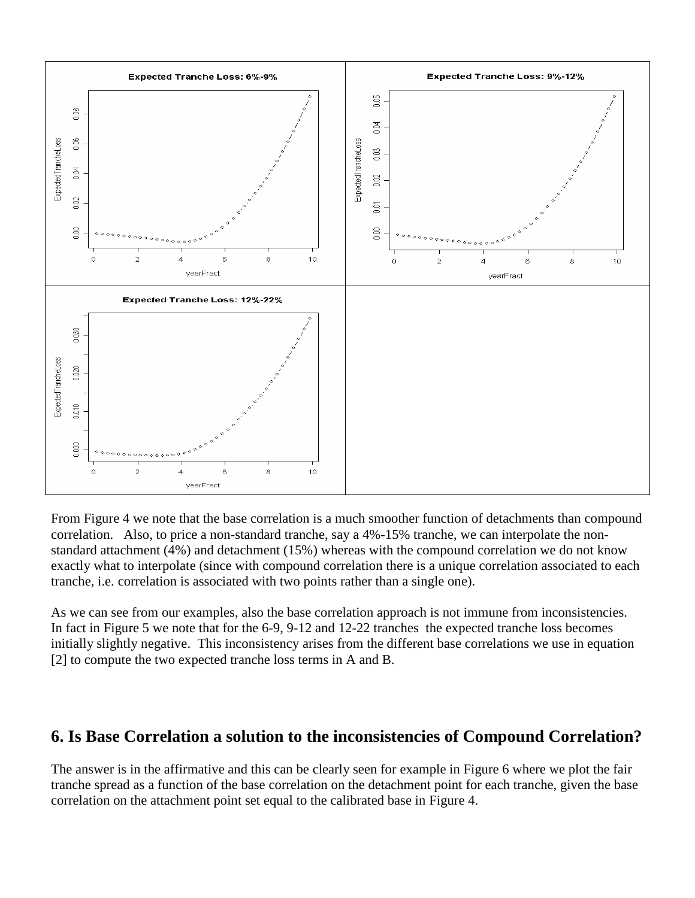

From Figure 4 we note that the base correlation is a much smoother function of detachments than compound correlation. Also, to price a non-standard tranche, say a 4%-15% tranche, we can interpolate the nonstandard attachment (4%) and detachment (15%) whereas with the compound correlation we do not know exactly what to interpolate (since with compound correlation there is a unique correlation associated to each tranche, i.e. correlation is associated with two points rather than a single one).

As we can see from our examples, also the base correlation approach is not immune from inconsistencies. In fact in Figure 5 we note that for the 6-9, 9-12 and 12-22 tranches the expected tranche loss becomes initially slightly negative. This inconsistency arises from the different base correlations we use in equation [2] to compute the two expected tranche loss terms in A and B.

#### **6. Is Base Correlation a solution to the inconsistencies of Compound Correlation?**

The answer is in the affirmative and this can be clearly seen for example in Figure 6 where we plot the fair tranche spread as a function of the base correlation on the detachment point for each tranche, given the base correlation on the attachment point set equal to the calibrated base in Figure 4.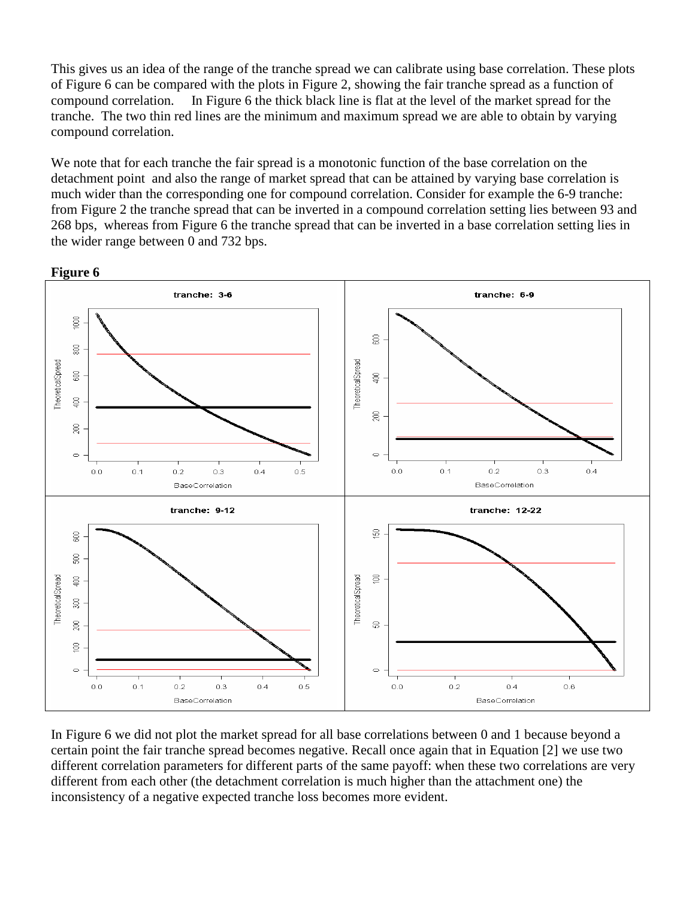This gives us an idea of the range of the tranche spread we can calibrate using base correlation. These plots of Figure 6 can be compared with the plots in Figure 2, showing the fair tranche spread as a function of compound correlation. In Figure 6 the thick black line is flat at the level of the market spread for the tranche. The two thin red lines are the minimum and maximum spread we are able to obtain by varying compound correlation.

We note that for each tranche the fair spread is a monotonic function of the base correlation on the detachment point and also the range of market spread that can be attained by varying base correlation is much wider than the corresponding one for compound correlation. Consider for example the 6-9 tranche: from Figure 2 the tranche spread that can be inverted in a compound correlation setting lies between 93 and 268 bps, whereas from Figure 6 the tranche spread that can be inverted in a base correlation setting lies in the wider range between 0 and 732 bps.



In Figure 6 we did not plot the market spread for all base correlations between 0 and 1 because beyond a certain point the fair tranche spread becomes negative. Recall once again that in Equation [2] we use two different correlation parameters for different parts of the same payoff: when these two correlations are very different from each other (the detachment correlation is much higher than the attachment one) the inconsistency of a negative expected tranche loss becomes more evident.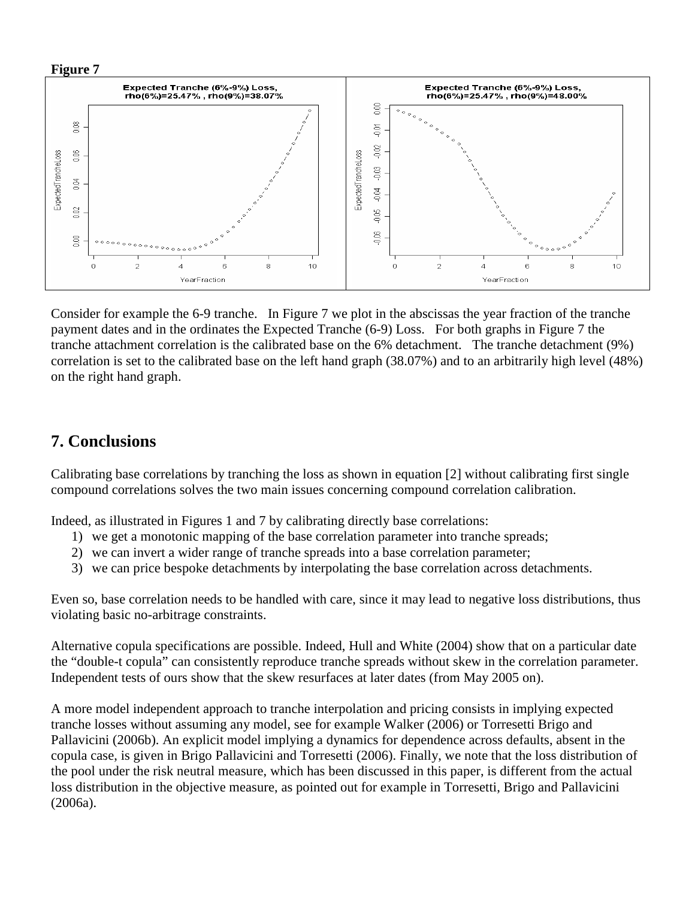



Consider for example the 6-9 tranche. In Figure 7 we plot in the abscissas the year fraction of the tranche payment dates and in the ordinates the Expected Tranche (6-9) Loss. For both graphs in Figure 7 the tranche attachment correlation is the calibrated base on the 6% detachment. The tranche detachment (9%) correlation is set to the calibrated base on the left hand graph (38.07%) and to an arbitrarily high level (48%) on the right hand graph.

### **7. Conclusions**

Calibrating base correlations by tranching the loss as shown in equation [2] without calibrating first single compound correlations solves the two main issues concerning compound correlation calibration.

Indeed, as illustrated in Figures 1 and 7 by calibrating directly base correlations:

- 1) we get a monotonic mapping of the base correlation parameter into tranche spreads;
- 2) we can invert a wider range of tranche spreads into a base correlation parameter;
- 3) we can price bespoke detachments by interpolating the base correlation across detachments.

Even so, base correlation needs to be handled with care, since it may lead to negative loss distributions, thus violating basic no-arbitrage constraints.

Alternative copula specifications are possible. Indeed, Hull and White (2004) show that on a particular date the "double-t copula" can consistently reproduce tranche spreads without skew in the correlation parameter. Independent tests of ours show that the skew resurfaces at later dates (from May 2005 on).

A more model independent approach to tranche interpolation and pricing consists in implying expected tranche losses without assuming any model, see for example Walker (2006) or Torresetti Brigo and Pallavicini (2006b). An explicit model implying a dynamics for dependence across defaults, absent in the copula case, is given in Brigo Pallavicini and Torresetti (2006). Finally, we note that the loss distribution of the pool under the risk neutral measure, which has been discussed in this paper, is different from the actual loss distribution in the objective measure, as pointed out for example in Torresetti, Brigo and Pallavicini (2006a).